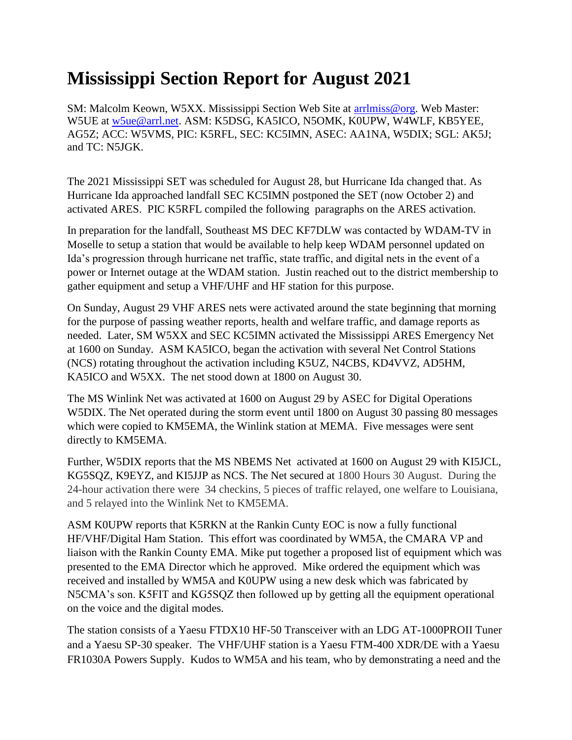## **Mississippi Section Report for August 2021**

SM: Malcolm Keown, W5XX. Mississippi Section Web Site at [arrlmiss@org.](mailto:arrlmiss@org) Web Master: W5UE at [w5ue@arrl.net.](mailto:w5ue@arrl.net) ASM: K5DSG, KA5ICO, N5OMK, K0UPW, W4WLF, KB5YEE, AG5Z; ACC: W5VMS, PIC: K5RFL, SEC: KC5IMN, ASEC: AA1NA, W5DIX; SGL: AK5J; and TC: N5JGK.

The 2021 Mississippi SET was scheduled for August 28, but Hurricane Ida changed that. As Hurricane Ida approached landfall SEC KC5IMN postponed the SET (now October 2) and activated ARES. PIC K5RFL compiled the following paragraphs on the ARES activation.

In preparation for the landfall, Southeast MS DEC KF7DLW was contacted by WDAM-TV in Moselle to setup a station that would be available to help keep WDAM personnel updated on Ida's progression through hurricane net traffic, state traffic, and digital nets in the event of a power or Internet outage at the WDAM station. Justin reached out to the district membership to gather equipment and setup a VHF/UHF and HF station for this purpose.

On Sunday, August 29 VHF ARES nets were activated around the state beginning that morning for the purpose of passing weather reports, health and welfare traffic, and damage reports as needed. Later, SM W5XX and SEC KC5IMN activated the Mississippi ARES Emergency Net at 1600 on Sunday. ASM KA5ICO, began the activation with several Net Control Stations (NCS) rotating throughout the activation including K5UZ, N4CBS, KD4VVZ, AD5HM, KA5ICO and W5XX. The net stood down at 1800 on August 30.

The MS Winlink Net was activated at 1600 on August 29 by ASEC for Digital Operations W5DIX. The Net operated during the storm event until 1800 on August 30 passing 80 messages which were copied to KM5EMA, the Winlink station at MEMA. Five messages were sent directly to KM5EMA.

Further, W5DIX reports that the MS NBEMS Net activated at 1600 on August 29 with KI5JCL, KG5SQZ, K9EYZ, and KI5JJP as NCS. The Net secured at 1800 Hours 30 August. During the 24-hour activation there were 34 checkins, 5 pieces of traffic relayed, one welfare to Louisiana, and 5 relayed into the Winlink Net to KM5EMA.

ASM K0UPW reports that K5RKN at the Rankin Cunty EOC is now a fully functional HF/VHF/Digital Ham Station. This effort was coordinated by WM5A, the CMARA VP and liaison with the Rankin County EMA. Mike put together a proposed list of equipment which was presented to the EMA Director which he approved. Mike ordered the equipment which was received and installed by WM5A and K0UPW using a new desk which was fabricated by N5CMA's son. K5FIT and KG5SQZ then followed up by getting all the equipment operational on the voice and the digital modes.

The station consists of a Yaesu FTDX10 HF-50 Transceiver with an LDG AT-1000PROII Tuner and a Yaesu SP-30 speaker. The VHF/UHF station is a Yaesu FTM-400 XDR/DE with a Yaesu FR1030A Powers Supply. Kudos to WM5A and his team, who by demonstrating a need and the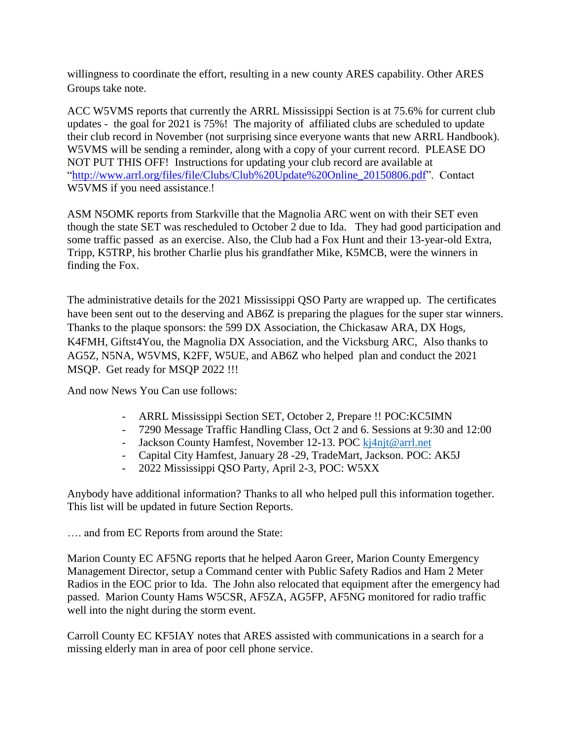willingness to coordinate the effort, resulting in a new county ARES capability. Other ARES Groups take note.

ACC W5VMS reports that currently the ARRL Mississippi Section is at 75.6% for current club updates - the goal for 2021 is 75%! The majority of affiliated clubs are scheduled to update their club record in November (not surprising since everyone wants that new ARRL Handbook). W5VMS will be sending a reminder, along with a copy of your current record. PLEASE DO NOT PUT THIS OFF! Instructions for updating your club record are available at ["http://www.arrl.org/files/file/Clubs/Club%20Update%20Online\\_20150806.pdf"](http://www.arrl.org/files/file/Clubs/Club%20Update%20Online_20150806.pdf). Contact W5VMS if you need assistance.!

ASM N5OMK reports from Starkville that the Magnolia ARC went on with their SET even though the state SET was rescheduled to October 2 due to Ida. They had good participation and some traffic passed as an exercise. Also, the Club had a Fox Hunt and their 13-year-old Extra, Tripp, K5TRP, his brother Charlie plus his grandfather Mike, K5MCB, were the winners in finding the Fox.

The administrative details for the 2021 Mississippi QSO Party are wrapped up. The certificates have been sent out to the deserving and AB6Z is preparing the plagues for the super star winners. Thanks to the plaque sponsors: the 599 DX Association, the Chickasaw ARA, DX Hogs, K4FMH, Giftst4You, the Magnolia DX Association, and the Vicksburg ARC, Also thanks to AG5Z, N5NA, W5VMS, K2FF, W5UE, and AB6Z who helped plan and conduct the 2021 MSQP. Get ready for MSQP 2022 !!!

And now News You Can use follows:

- ARRL Mississippi Section SET, October 2, Prepare !! POC:KC5IMN
- 7290 Message Traffic Handling Class, Oct 2 and 6. Sessions at 9:30 and 12:00
- Jackson County Hamfest, November 12-13. POC [kj4njt@arrl.net](mailto:kj4njt@arrl.net)
- Capital City Hamfest, January 28 -29, TradeMart, Jackson. POC: AK5J
- 2022 Mississippi QSO Party, April 2-3, POC: W5XX

Anybody have additional information? Thanks to all who helped pull this information together. This list will be updated in future Section Reports.

…. and from EC Reports from around the State:

Marion County EC AF5NG reports that he helped Aaron Greer, Marion County Emergency Management Director, setup a Command center with Public Safety Radios and Ham 2 Meter Radios in the EOC prior to Ida. The John also relocated that equipment after the emergency had passed. Marion County Hams W5CSR, AF5ZA, AG5FP, AF5NG monitored for radio traffic well into the night during the storm event.

Carroll County EC KF5IAY notes that ARES assisted with communications in a search for a missing elderly man in area of poor cell phone service.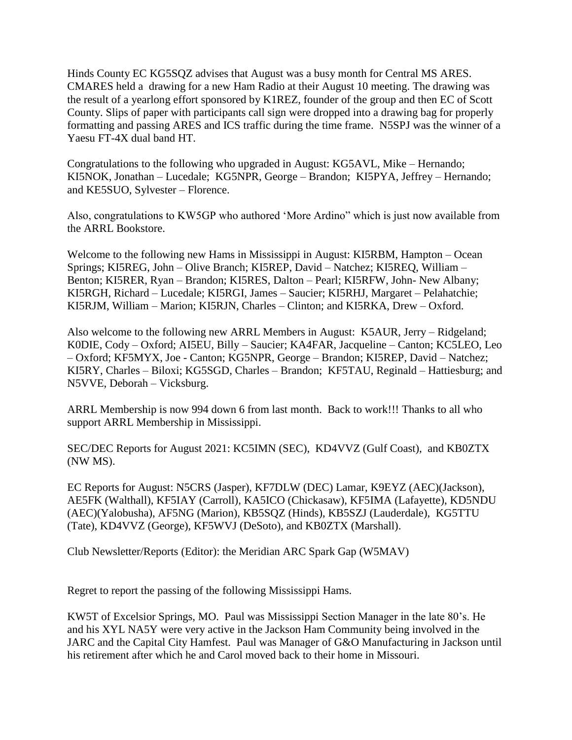Hinds County EC KG5SQZ advises that August was a busy month for Central MS ARES. CMARES held a drawing for a new Ham Radio at their August 10 meeting. The drawing was the result of a yearlong effort sponsored by K1REZ, founder of the group and then EC of Scott County. Slips of paper with participants call sign were dropped into a drawing bag for properly formatting and passing ARES and ICS traffic during the time frame. N5SPJ was the winner of a Yaesu FT-4X dual band HT.

Congratulations to the following who upgraded in August: KG5AVL, Mike – Hernando; KI5NOK, Jonathan – Lucedale; KG5NPR, George – Brandon; KI5PYA, Jeffrey – Hernando; and KE5SUO, Sylvester – Florence.

Also, congratulations to KW5GP who authored 'More Ardino" which is just now available from the ARRL Bookstore.

Welcome to the following new Hams in Mississippi in August: KI5RBM, Hampton – Ocean Springs; KI5REG, John – Olive Branch; KI5REP, David – Natchez; KI5REQ, William – Benton; KI5RER, Ryan – Brandon; KI5RES, Dalton – Pearl; KI5RFW, John- New Albany; KI5RGH, Richard – Lucedale; KI5RGI, James – Saucier; KI5RHJ, Margaret – Pelahatchie; KI5RJM, William – Marion; KI5RJN, Charles – Clinton; and KI5RKA, Drew – Oxford.

Also welcome to the following new ARRL Members in August: K5AUR, Jerry – Ridgeland; K0DIE, Cody – Oxford; AI5EU, Billy – Saucier; KA4FAR, Jacqueline – Canton; KC5LEO, Leo – Oxford; KF5MYX, Joe - Canton; KG5NPR, George – Brandon; KI5REP, David – Natchez; KI5RY, Charles – Biloxi; KG5SGD, Charles – Brandon; KF5TAU, Reginald – Hattiesburg; and N5VVE, Deborah – Vicksburg.

ARRL Membership is now 994 down 6 from last month. Back to work!!! Thanks to all who support ARRL Membership in Mississippi.

SEC/DEC Reports for August 2021: KC5IMN (SEC), KD4VVZ (Gulf Coast), and KB0ZTX (NW MS).

EC Reports for August: N5CRS (Jasper), KF7DLW (DEC) Lamar, K9EYZ (AEC)(Jackson), AE5FK (Walthall), KF5IAY (Carroll), KA5ICO (Chickasaw), KF5IMA (Lafayette), KD5NDU (AEC)(Yalobusha), AF5NG (Marion), KB5SQZ (Hinds), KB5SZJ (Lauderdale), KG5TTU (Tate), KD4VVZ (George), KF5WVJ (DeSoto), and KB0ZTX (Marshall).

Club Newsletter/Reports (Editor): the Meridian ARC Spark Gap (W5MAV)

Regret to report the passing of the following Mississippi Hams.

KW5T of Excelsior Springs, MO. Paul was Mississippi Section Manager in the late 80's. He and his XYL NA5Y were very active in the Jackson Ham Community being involved in the JARC and the Capital City Hamfest. Paul was Manager of G&O Manufacturing in Jackson until his retirement after which he and Carol moved back to their home in Missouri.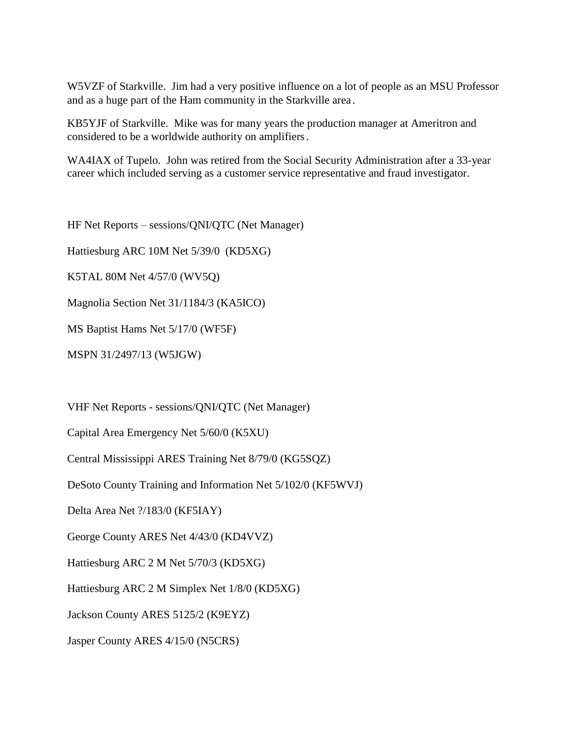W5VZF of Starkville. Jim had a very positive influence on a lot of people as an MSU Professor and as a huge part of the Ham community in the Starkville area.

KB5YJF of Starkville. Mike was for many years the production manager at Ameritron and considered to be a worldwide authority on amplifiers.

WA4IAX of Tupelo. John was retired from the Social Security Administration after a 33-year career which included serving as a customer service representative and fraud investigator.

HF Net Reports – sessions/QNI/QTC (Net Manager)

Hattiesburg ARC 10M Net 5/39/0 (KD5XG)

K5TAL 80M Net 4/57/0 (WV5Q)

Magnolia Section Net 31/1184/3 (KA5ICO)

MS Baptist Hams Net 5/17/0 (WF5F)

MSPN 31/2497/13 (W5JGW)

VHF Net Reports - sessions/QNI/QTC (Net Manager)

Capital Area Emergency Net 5/60/0 (K5XU)

Central Mississippi ARES Training Net 8/79/0 (KG5SQZ)

DeSoto County Training and Information Net 5/102/0 (KF5WVJ)

Delta Area Net ?/183/0 (KF5IAY)

George County ARES Net 4/43/0 (KD4VVZ)

Hattiesburg ARC 2 M Net 5/70/3 (KD5XG)

Hattiesburg ARC 2 M Simplex Net 1/8/0 (KD5XG)

Jackson County ARES 5125/2 (K9EYZ)

Jasper County ARES 4/15/0 (N5CRS)